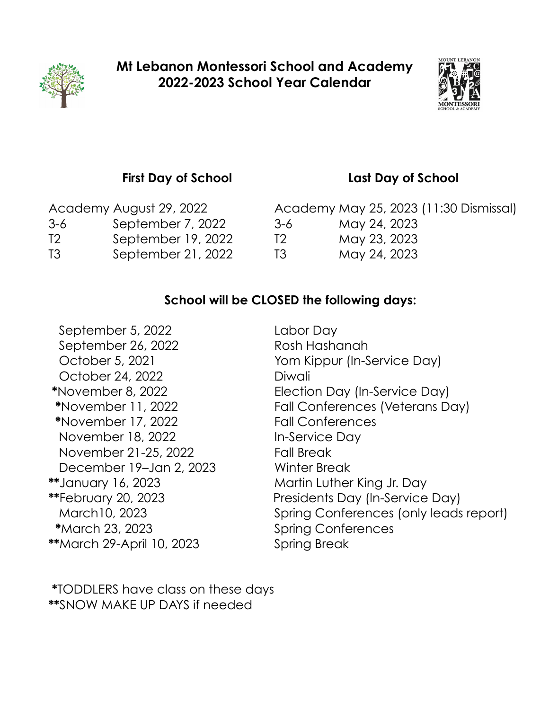



## **First Day of School Last Day of School**

3-6 September 7, 2022 3-6 May 24, 2023 T2 September 19, 2022 T2 May 23, 2023 T3 September 21, 2022 T3 May 24, 2023

Academy August 29, 2022 Academy May 25, 2023 (11:30 Dismissal)

## **School will be CLOSED the following days:**

September 5, 2022 Labor Day September 26, 2022 Rosh Hashanah October 24, 2022 Diwali **\***November 17, 2022 Fall Conferences November 18, 2022 In-Service Day November 21-25, 2022 Fall Break December 19–Jan 2, 2023 Winter Break **\*\***January 16, 2023 Martin Luther King Jr. Day  **\***March 23, 2023 Spring Conferences **\*\***March 29-April 10, 2023 Spring Break

October 5, 2021 Yom Kippur (In-Service Day) **\***November 8, 2022 Election Day (In-Service Day)  **\***November 11, 2022 Fall Conferences (Veterans Day) **\*\***February 20, 2023 Presidents Day (In-Service Day) March10, 2023 Spring Conferences (only leads report)

 **\***TODDLERS have class on these days **\*\***SNOW MAKE UP DAYS if needed